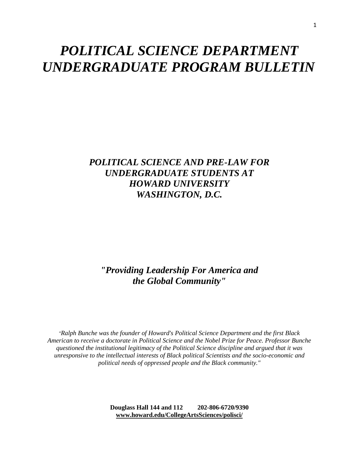# *POLITICAL SCIENCE DEPARTMENT UNDERGRADUATE PROGRAM BULLETIN*

# *POLITICAL SCIENCE AND PRE-LAW FOR UNDERGRADUATE STUDENTS AT HOWARD UNIVERSITY WASHINGTON, D.C.*

*"Providing Leadership For America and the Global Community"* 

*"Ralph Bunche was the founder of Howard's Political Science Department and the first Black American to receive a doctorate in Political Science and the Nobel Prize for Peace. Professor Bunche questioned the institutional legitimacy of the Political Science discipline and argued that it was unresponsive to the intellectual interests of Black political Scientists and the socio-economic and political needs of oppressed people and the Black community."* 

> **Douglass Hall 144 and 112 202-806-6720/9390 [www.howard.edu/CollegeArtsSciences/polisci/](http://www.howard.edu/CollegeArtsSciences/polisci/)**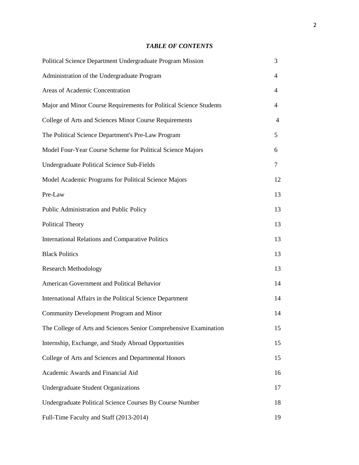# *TABLE OF CONTENTS*

| Political Science Department Undergraduate Program Mission         | 3  |
|--------------------------------------------------------------------|----|
| Administration of the Undergraduate Program                        | 4  |
| Areas of Academic Concentration                                    | 4  |
| Major and Minor Course Requirements for Political Science Students | 4  |
| College of Arts and Sciences Minor Course Requirements             | 4  |
| The Political Science Department's Pre-Law Program                 | 5  |
| Model Four-Year Course Scheme for Political Science Majors         | 6  |
| <b>Undergraduate Political Science Sub-Fields</b>                  | 7  |
| Model Academic Programs for Political Science Majors               | 12 |
| Pre-Law                                                            | 13 |
| Public Administration and Public Policy                            | 13 |
| <b>Political Theory</b>                                            | 13 |
| <b>International Relations and Comparative Politics</b>            | 13 |
| <b>Black Politics</b>                                              | 13 |
| <b>Research Methodology</b>                                        | 13 |
| American Government and Political Behavior                         | 14 |
| International Affairs in the Political Science Department          | 14 |
| Community Development Program and Minor                            | 14 |
| The College of Arts and Sciences Senior Comprehensive Examination  | 15 |
| Internship, Exchange, and Study Abroad Opportunities               | 15 |
| College of Arts and Sciences and Departmental Honors               | 15 |
| Academic Awards and Financial Aid                                  | 16 |
| <b>Undergraduate Student Organizations</b>                         | 17 |
| Undergraduate Political Science Courses By Course Number           | 18 |
| Full-Time Faculty and Staff (2013-2014)                            | 19 |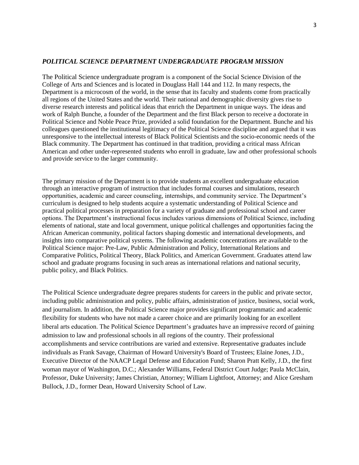#### *POLITICAL SCIENCE DEPARTMENT UNDERGRADUATE PROGRAM MISSION*

The Political Science undergraduate program is a component of the Social Science Division of the College of Arts and Sciences and is located in Douglass Hall 144 and 112. In many respects, the Department is a microcosm of the world, in the sense that its faculty and students come from practically all regions of the United States and the world. Their national and demographic diversity gives rise to diverse research interests and political ideas that enrich the Department in unique ways. The ideas and work of Ralph Bunche, a founder of the Department and the first Black person to receive a doctorate in Political Science and Noble Peace Prize, provided a solid foundation for the Department. Bunche and his colleagues questioned the institutional legitimacy of the Political Science discipline and argued that it was unresponsive to the intellectual interests of Black Political Scientists and the socio-economic needs of the Black community. The Department has continued in that tradition, providing a critical mass African American and other under-represented students who enroll in graduate, law and other professional schools and provide service to the larger community.

The primary mission of the Department is to provide students an excellent undergraduate education through an interactive program of instruction that includes formal courses and simulations, research opportunities, academic and career counseling, internships, and community service. The Department's curriculum is designed to help students acquire a systematic understanding of Political Science and practical political processes in preparation for a variety of graduate and professional school and career options. The Department's instructional focus includes various dimensions of Political Science, including elements of national, state and local government, unique political challenges and opportunities facing the African American community, political factors shaping domestic and international developments, and insights into comparative political systems. The following academic concentrations are available to the Political Science major: Pre-Law, Public Administration and Policy, International Relations and Comparative Politics, Political Theory, Black Politics, and American Government. Graduates attend law school and graduate programs focusing in such areas as international relations and national security, public policy, and Black Politics.

The Political Science undergraduate degree prepares students for careers in the public and private sector, including public administration and policy, public affairs, administration of justice, business, social work, and journalism. In addition, the Political Science major provides significant programmatic and academic flexibility for students who have not made a career choice and are primarily looking for an excellent liberal arts education. The Political Science Department's graduates have an impressive record of gaining admission to law and professional schools in all regions of the country. Their professional accomplishments and service contributions are varied and extensive. Representative graduates include individuals as Frank Savage, Chairman of Howard University's Board of Trustees; Elaine Jones, J.D., Executive Director of the NAACP Legal Defense and Education Fund; Sharon Pratt Kelly, J.D., the first woman mayor of Washington, D.C.; Alexander Williams, Federal District Court Judge; Paula McClain, Professor, Duke University; James Christian, Attorney; William Lightfoot, Attorney; and Alice Gresham Bullock, J.D., former Dean, Howard University School of Law.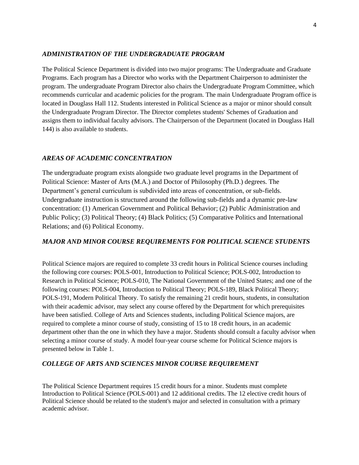#### *ADMINISTRATION OF THE UNDERGRADUATE PROGRAM*

The Political Science Department is divided into two major programs: The Undergraduate and Graduate Programs. Each program has a Director who works with the Department Chairperson to administer the program. The undergraduate Program Director also chairs the Undergraduate Program Committee, which recommends curricular and academic policies for the program. The main Undergraduate Program office is located in Douglass Hall 112. Students interested in Political Science as a major or minor should consult the Undergraduate Program Director. The Director completes students' Schemes of Graduation and assigns them to individual faculty advisors. The Chairperson of the Department (located in Douglass Hall 144) is also available to students.

### *AREAS OF ACADEMIC CONCENTRATION*

The undergraduate program exists alongside two graduate level programs in the Department of Political Science: Master of Arts (M.A.) and Doctor of Philosophy (Ph.D.) degrees. The Department's general curriculum is subdivided into areas of concentration, or sub-fields. Undergraduate instruction is structured around the following sub-fields and a dynamic pre-law concentration: (1) American Government and Political Behavior; (2) Public Administration and Public Policy; (3) Political Theory; (4) Black Politics; (5) Comparative Politics and International Relations; and (6) Political Economy.

### *MAJOR AND MINOR COURSE REQUIREMENTS FOR POLITICAL SCIENCE STUDENTS*

Political Science majors are required to complete 33 credit hours in Political Science courses including the following core courses: POLS-001, Introduction to Political Science; POLS-002, Introduction to Research in Political Science; POLS-010, The National Government of the United States; and one of the following courses: POLS-004, Introduction to Political Theory; POLS-189, Black Political Theory; POLS-191, Modern Political Theory. To satisfy the remaining 21 credit hours, students, in consultation with their academic advisor, may select any course offered by the Department for which prerequisites have been satisfied. College of Arts and Sciences students, including Political Science majors, are required to complete a minor course of study, consisting of 15 to 18 credit hours, in an academic department other than the one in which they have a major. Students should consult a faculty advisor when selecting a minor course of study. A model four-year course scheme for Political Science majors is presented below in Table 1.

#### *COLLEGE OF ARTS AND SCIENCES MINOR COURSE REQUIREMENT*

The Political Science Department requires 15 credit hours for a minor. Students must complete Introduction to Political Science (POLS-001) and 12 additional credits. The 12 elective credit hours of Political Science should be related to the student's major and selected in consultation with a primary academic advisor.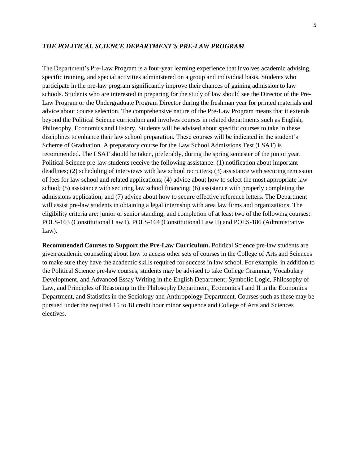#### *THE POLITICAL SCIENCE DEPARTMENT'S PRE-LAW PROGRAM*

The Department's Pre-Law Program is a four-year learning experience that involves academic advising, specific training, and special activities administered on a group and individual basis. Students who participate in the pre-law program significantly improve their chances of gaining admission to law schools. Students who are interested in preparing for the study of law should see the Director of the Pre-Law Program or the Undergraduate Program Director during the freshman year for printed materials and advice about course selection. The comprehensive nature of the Pre-Law Program means that it extends beyond the Political Science curriculum and involves courses in related departments such as English, Philosophy, Economics and History. Students will be advised about specific courses to take in these disciplines to enhance their law school preparation. These courses will be indicated in the student's Scheme of Graduation. A preparatory course for the Law School Admissions Test (LSAT) is recommended. The LSAT should be taken, preferably, during the spring semester of the junior year. Political Science pre-law students receive the following assistance: (1) notification about important deadlines; (2) scheduling of interviews with law school recruiters; (3) assistance with securing remission of fees for law school and related applications; (4) advice about how to select the most appropriate law school; (5) assistance with securing law school financing; (6) assistance with properly completing the admissions application; and (7) advice about how to secure effective reference letters. The Department will assist pre-law students in obtaining a legal internship with area law firms and organizations. The eligibility criteria are: junior or senior standing; and completion of at least two of the following courses: POLS-163 (Constitutional Law I), POLS-164 (Constitutional Law II) and POLS-186 (Administrative Law).

**Recommended Courses to Support the Pre-Law Curriculum.** Political Science pre-law students are given academic counseling about how to access other sets of courses in the College of Arts and Sciences to make sure they have the academic skills required for success in law school. For example, in addition to the Political Science pre-law courses, students may be advised to take College Grammar, Vocabulary Development, and Advanced Essay Writing in the English Department; Symbolic Logic, Philosophy of Law, and Principles of Reasoning in the Philosophy Department, Economics I and II in the Economics Department, and Statistics in the Sociology and Anthropology Department. Courses such as these may be pursued under the required 15 to 18 credit hour minor sequence and College of Arts and Sciences electives.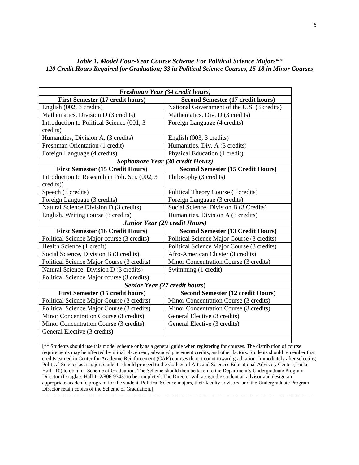### *Table 1. Model Four-Year Course Scheme For Political Science Majors\*\* 120 Credit Hours Required for Graduation; 33 in Political Science Courses, 15-18 in Minor Courses*

| Freshman Year (34 credit hours)                |                                             |  |
|------------------------------------------------|---------------------------------------------|--|
| <b>First Semester (17 credit hours)</b>        | <b>Second Semester (17 credit hours)</b>    |  |
| English (002, 3 credits)                       | National Government of the U.S. (3 credits) |  |
| Mathematics, Division D (3 credits)            | Mathematics, Div. D (3 credits)             |  |
| Introduction to Political Science (001, 3      | Foreign Language (4 credits)                |  |
| credits)                                       |                                             |  |
| Humanities, Division A, (3 credits)            | English (003, 3 credits)                    |  |
| Freshman Orientation (1 credit)                | Humanities, Div. A (3 credits)              |  |
| Foreign Language (4 credits)                   | Physical Education (1 credit)               |  |
| Sophomore Year (30 credit Hours)               |                                             |  |
| <b>First Semester (15 Credit Hours)</b>        | <b>Second Semester (15 Credit Hours)</b>    |  |
| Introduction to Research in Poli. Sci. (002, 3 | Philosophy (3 credits)                      |  |
| credits))                                      |                                             |  |
| Speech (3 credits)                             | Political Theory Course (3 credits)         |  |
| Foreign Language (3 credits)                   | Foreign Language (3 credits)                |  |
| Natural Science Division D (3 credits)         | Social Science, Division B (3 Credits)      |  |
| English, Writing course (3 credits)            | Humanities, Division A (3 credits)          |  |
| Junior Year (29 credit Hours)                  |                                             |  |
| <b>First Semester (16 Credit Hours)</b>        | <b>Second Semester (13 Credit Hours)</b>    |  |
| Political Science Major course (3 credits)     | Political Science Major Course (3 credits)  |  |
| Health Science (1 credit)                      | Political Science Major Course (3 credits)  |  |
| Social Science, Division B (3 credits)         | Afro-American Cluster (3 credits)           |  |
| Political Science Major Course (3 credits)     | Minor Concentration Course (3 credits)      |  |
| Natural Science, Division D (3 credits)        | Swimming (1 credit)                         |  |
| Political Science Major course (3 credits)     |                                             |  |
| <b>Senior Year (27 credit hours)</b>           |                                             |  |
| <b>First Semester (15 credit hours)</b>        | <b>Second Semester (12 credit Hours)</b>    |  |
| Political Science Major Course (3 credits)     | Minor Concentration Course (3 credits)      |  |
| Political Science Major Course (3 credits)     | Minor Concentration Course (3 credits)      |  |
| Minor Concentration Course (3 credits)         | General Elective (3 credits)                |  |
| Minor Concentration Course (3 credits)         | General Elective (3 credits)                |  |
| General Elective (3 credits)                   |                                             |  |

[\*\* Students should use this model scheme only as a general guide when registering for courses. The distribution of course requirements may be affected by initial placement, advanced placement credits, and other factors. Students should remember that credits earned in Center for Academic Reinforcement (CAR) courses do not count toward graduation. Immediately after selecting Political Science as a major, students should proceed to the College of Arts and Sciences Educational Advisory Center (Locke Hall 110) to obtain a Scheme of Graduation. The Scheme should then be taken to the Department's Undergraduate Program Director (Douglass Hall 112/806-9343) to be completed. The Director will assign the student an advisor and design an appropriate academic program for the student. Political Science majors, their faculty advisors, and the Undergraduate Program Director retain copies of the Scheme of Graduation.]

**==========================================================================**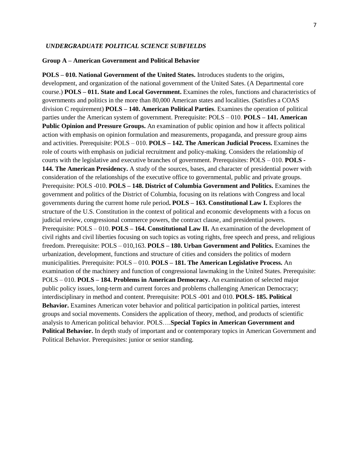#### *UNDERGRADUATE POLITICAL SCIENCE SUBFIELDS*

#### **Group A – American Government and Political Behavior**

**POLS – 010. National Government of the United States.** Introduces students to the origins, development, and organization of the national government of the United Sates. (A Departmental core course.) **POLS – 011. State and Local Government.** Examines the roles, functions and characteristics of governments and politics in the more than 80,000 American states and localities. (Satisfies a COAS division C requirement) **POLS – 140. American Political Parties**. Examines the operation of political parties under the American system of government. Prerequisite: POLS – 010. **POLS – 141. American Public Opinion and Pressure Groups.** An examination of public opinion and how it affects political action with emphasis on opinion formulation and measurements, propaganda, and pressure group aims and activities. Prerequisite: POLS – 010. **POLS – 142. The American Judicial Process.** Examines the role of courts with emphasis on judicial recruitment and policy-making. Considers the relationship of courts with the legislative and executive branches of government. Prerequisites: POLS – 010. **POLS - 144. The American Presidency.** A study of the sources, bases, and character of presidential power with consideration of the relationships of the executive office to governmental, public and private groups. Prerequisite: POLS -010. **POLS – 148. District of Columbia Government and Politics.** Examines the government and politics of the District of Columbia, focusing on its relations with Congress and local governments during the current home rule period**. POLS – 163. Constitutional Law I.** Explores the structure of the U.S. Constitution in the context of political and economic developments with a focus on judicial review, congressional commerce powers, the contract clause, and presidential powers. Prerequisite: POLS – 010. **POLS – 164. Constitutional Law II.** An examination of the development of civil rights and civil liberties focusing on such topics as voting rights, free speech and press, and religious freedom. Prerequisite: POLS – 010,163. **POLS – 180. Urban Government and Politics.** Examines the urbanization, development, functions and structure of cities and considers the politics of modern municipalities. Prerequisite: POLS – 010. **POLS – 181. The American Legislative Process.** An examination of the machinery and function of congressional lawmaking in the United States. Prerequisite: POLS – 010. **POLS – 184. Problems in American Democracy.** An examination of selected major public policy issues, long-term and current forces and problems challenging American Democracy; interdisciplinary in method and content. Prerequisite: POLS -001 and 010. **POLS- 185. Political Behavior.** Examines American voter behavior and political participation in political parties, interest groups and social movements. Considers the application of theory, method, and products of scientific analysis to American political behavior. POLS….**Special Topics in American Government and Political Behavior.** In depth study of important and or contemporary topics in American Government and Political Behavior. Prerequisites: junior or senior standing.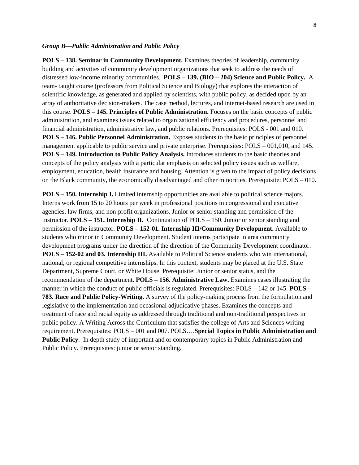#### *Group B—Public Administration and Public Policy*

**POLS – 138. Seminar in Community Development.** Examines theories of leadership, community building and activities of community development organizations that seek to address the needs of distressed low-income minority communities. **POLS – 139. (BIO – 204) Science and Public Policy.** A team- taught course (professors from Political Science and Biology) that explores the interaction of scientific knowledge, as generated and applied by scientists, with public policy, as decided upon by an array of authoritative decision-makers. The case method, lectures, and internet-based research are used in this course. **POLS – 145. Principles of Public Administration.** Focuses on the basic concepts of public administration, and examines issues related to organizational efficiency and procedures, personnel and financial administration, administrative law, and public relations. Prerequisites: POLS - 001 and 010. **POLS – 146. Public Personnel Administration.** Exposes students to the basic principles of personnel management applicable to public service and private enterprise. Prerequisites: POLS – 001,010, and 145. **POLS – 149. Introduction to Public Policy Analysis.** Introduces students to the basic theories and concepts of the policy analysis with a particular emphasis on selected policy issues such as welfare, employment, education, health insurance and housing. Attention is given to the impact of policy decisions on the Black community, the economically disadvantaged and other minorities. Prerequisite: POLS – 010.

**POLS – 150. Internship I.** Limited internship opportunities are available to political science majors. Interns work from 15 to 20 hours per week in professional positions in congressional and executive agencies, law firms, and non-profit organizations. Junior or senior standing and permission of the instructor. **POLS – 151. Internship II.** Continuation of POLS – 150. Junior or senior standing and permission of the instructor. **POLS – 152-01. Internship III/Community Development.** Available to students who minor in Community Development. Student interns participate in area community development programs under the direction of the direction of the Community Development coordinator. **POLS – 152-02 and 03. Internship III.** Available to Political Science students who win international, national, or regional competitive internships. In this context, students may be placed at the U.S. State Department, Supreme Court, or White House. Prerequisite: Junior or senior status, and the recommendation of the department. **POLS – 156. Administrative Law.** Examines cases illustrating the manner in which the conduct of public officials is regulated. Prerequisites: POLS – 142 or 145. **POLS – 783. Race and Public Policy-Writing.** A survey of the policy-making process from the formulation and legislative to the implementation and occasional adjudicative phases. Examines the concepts and treatment of race and racial equity as addressed through traditional and non-traditional perspectives in public policy. A Writing Across the Curriculum that satisfies the college of Arts and Sciences writing requirement. Prerequisites: POLS – 001 and 007. POLS….**Special Topics in Public Administration and Public Policy.** In depth study of important and or contemporary topics in Public Administration and Public Policy. Prerequisites: junior or senior standing.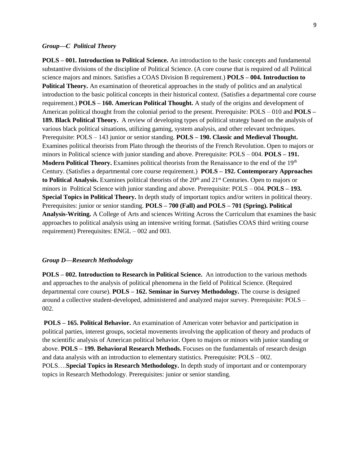#### *Group—C Political Theory*

**POLS – 001. Introduction to Political Science.** An introduction to the basic concepts and fundamental substantive divisions of the discipline of Political Science. (A core course that is required od all Political science majors and minors. Satisfies a COAS Division B requirement.) **POLS – 004. Introduction to Political Theory.** An examination of theoretical approaches in the study of politics and an analytical introduction to the basic political concepts in their historical context. (Satisfies a departmental core course requirement.) **POLS – 160. American Political Thought.** A study of the origins and development of American political thought from the colonial period to the present. Prerequisite: POLS – 010 and **POLS – 189. Black Political Theory.** A review of developing types of political strategy based on the analysis of various black political situations, utilizing gaming, system analysis, and other relevant techniques. Prerequisite: POLS – 143 junior or senior standing. **POLS – 190. Classic and Medieval Thought.** Examines political theorists from Plato through the theorists of the French Revolution. Open to majors or minors in Political science with junior standing and above. Prerequisite: POLS – 004. **POLS – 191. Modern Political Theory.** Examines political theorists from the Renaissance to the end of the 19th Century. (Satisfies a departmental core course requirement.) **POLS – 192. Contemporary Approaches**  to Political Analysis. Examines political theorists of the 20<sup>th</sup> and 21<sup>st</sup> Centuries. Open to majors or minors in Political Science with junior standing and above. Prerequisite: POLS – 004. **POLS – 193. Special Topics in Political Theory.** In depth study of important topics and/or writers in political theory. Prerequisites: junior or senior standing. **POLS – 700 (Fall) and POLS – 701 (Spring). Political Analysis-Writing.** A College of Arts and sciences Writing Across the Curriculum that examines the basic approaches to political analysis using an intensive writing format. (Satisfies COAS third writing course requirement) Prerequisites: ENGL – 002 and 003.

#### *Group D—Research Methodology*

**POLS – 002. Introduction to Research in Political Science.** An introduction to the various methods and approaches to the analysis of political phenomena in the field of Political Science. (Required departmental core course). **POLS – 162. Seminar in Survey Methodology.** The course is designed around a collective student-developed, administered and analyzed major survey. Prerequisite: POLS – 002.

**POLS – 165. Political Behavior.** An examination of American voter behavior and participation in political parties, interest groups, societal movements involving the application of theory and products of the scientific analysis of American political behavior. Open to majors or minors with junior standing or above. **POLS – 199. Behavioral Research Methods.** Focuses on the fundamentals of research design and data analysis with an introduction to elementary statistics. Prerequisite:  $POLS - 002$ . POLS….**Special Topics in Research Methodology.** In depth study of important and or contemporary topics in Research Methodology. Prerequisites: junior or senior standing.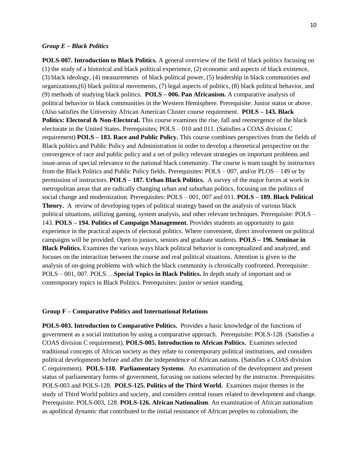#### *Group E – Black Politics*

**POLS-007. Introduction to Black Politics.** A general overview of the field of black politics focusing on (1) the study of a historical and black political experience, (2) economic and aspects of black existence, (3) black ideology, (4) measurements of black political power, (5) leadership in black communities and organizations,(6) black political movements, (7) legal aspects of politics, (8) black political behavior, and (9) methods of studying black politics. **POLS – 006. Pan Africanism.** A comparative analysis of political behavior in black communities in the Western Hemisphere. Prerequisite: Junior status or above. (Also satisfies the University African American Cluster course requirement. **POLS – 143. Black Politics: Electoral & Non-Electoral.** This course examines the rise, fall and reemergence of the black electorate in the United States. Prerequisites; POLS – 010 and 011. (Satisfies a COAS division C requirement) **POLS – 183. Race and Public Policy.** This course combines perspectives from the fields of Black politics and Public Policy and Administration in order to develop a theoretical perspective on the convergence of race and public policy and a set of policy relevant strategies on important problems and issue-areas of special relevance to the national black community. The course is team taught by instructors from the Black Politics and Public Policy fields. Prerequisites: POLS – 007, and/or PLOS – 149 or by permission of instructors. **POLS – 187. Urban Black Politics.** A survey of the major forces at work in metropolitan areas that are radically changing urban and suburban politics, focusing on the politics of social change and modernization. Prerequisites: POLS – 001, 007 and 011. **POLS – 189. Black Political Theory.** A review of developing types of political strategy based on the analysis of various black political situations, utilizing gaming, system analysis, and other relevant techniques. Prerequisite: POLS – 143. **POLS – 194. Politics of Campaign Management.** Provides students an opportunity to gain experience in the practical aspects of electoral politics. Where convenient, direct involvement on political campaigns will be provided. Open to juniors, seniors and graduate students. **POLS – 196. Seminar in Black Politics.** Examines the various ways black political behavior is conceptualized and analyzed, and focuses on the interaction between the course and real political situations. Attention is given to the analysis of on-going problems with which the black community is chronically confronted. Prerequisite: POLS – 001, 007. POLS….**Special Topics in Black Politics.** In depth study of important and or contemporary topics in Black Politics. Prerequisites: junior or senior standing.

#### **Group F – Comparative Politics and International Relations**

**POLS-003. Introduction to Comparative Politics.** Provides a basic knowledge of the functions of government as a social institution by using a comparative approach. Prerequisite: POLS-128. (Satisfies a COAS division C requirement). **POLS-005. Introduction to African Politics.** Examines selected traditional concepts of African society as they relate to contemporary political institutions, and considers political developments before and after the independence of African nations. (Satisfies a COAS division C requirement). **POLS-110. Parliamentary Systems**. An examination of the development and present status of parliamentary forms of government, focusing on nations selected by the instructor. Prerequisites: POLS-003 and POLS-128. **POLS-125. Politics of the Third World.** Examines major themes in the study of Third World politics and society, and considers central issues related to development and change. Prerequisite: POLS-003, 128. **POLS-126. African Nationalism**. An examination of African nationalism as apolitical dynamic that contributed to the initial resistance of African peoples to colonialism, the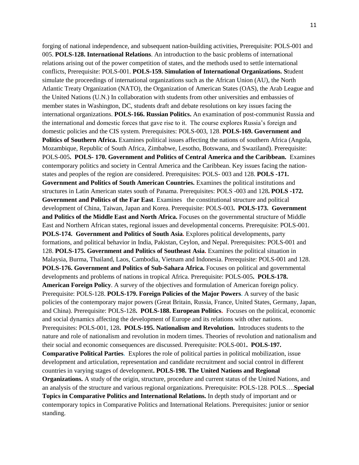forging of national independence, and subsequent nation-building activities, Prerequisite: POLS-001 and 005. **POLS-128. International Relations**. An introduction to the basic problems of international relations arising out of the power competition of states, and the methods used to settle international conflicts, Prerequisite: POLS-001. **POLS-159. Simulation of International Organizations. S**tudent simulate the proceedings of international organizations such as the African Union (AU), the North Atlantic Treaty Organization (NATO), the Organization of American States (OAS), the Arab League and the United Nations (U.N.) In collaboration with students from other universities and embassies of member states in Washington, DC, students draft and debate resolutions on key issues facing the international organizations. **POLS-166. Russian Politics.** An examination of post-communist Russia and the international and domestic forces that gave rise to it. The course explores Russia's foreign and domestic policies and the CIS system. Prerequisites: POLS-003, 128. **POLS-169. Government and Politics of Southern Africa.** Examines political issues affecting the nations of southern Africa (Angola, Mozambique, Republic of South Africa, Zimbabwe, Lesotho, Botswana, and Swaziland). Prerequisite: POLS-005**. POLS- 170. Government and Politics of Central America and the Caribbean.** Examines contemporary politics and society in Central America and the Caribbean. Key issues facing the nationstates and peoples of the region are considered. Prerequisites: POLS- 003 and 128. **POLS -171. Government and Politics of South American Countries.** Examines the political institutions and structures in Latin American states south of Panama. Prerequisites: POLS -003 and 128**. POLS -172. Government and Politics of the Far East.** Examines the constitutional structure and political development of China, Taiwan, Japan and Korea. Prerequisite: POLS-003**. POLS-173. Government and Politics of the Middle East and North Africa.** Focuses on the governmental structure of Middle East and Northern African states, regional issues and developmental concerns. Prerequisite: POLS-001. **POLS-174. Government and Politics of South Asia.** Explores political developments, party formations, and political behavior in India, Pakistan, Ceylon, and Nepal. Prerequisites: POLS-001 and 128. **POLS-175. Government and Politics of Southeast Asia.** Examines the political situation in Malaysia, Burma, Thailand, Laos, Cambodia, Vietnam and Indonesia. Prerequisite: POLS-001 and 128. **POLS-176. Government and Politics of Sub-Sahara Africa.** Focuses on political and governmental developments and problems of nations in tropical Africa. Prerequisite: POLS-005**. POLS-178. American Foreign Policy**. A survey of the objectives and formulation of American foreign policy. Prerequisite: POLS-128. **POLS-179. Foreign Policies of the Major Powers.** A survey of the basic policies of the contemporary major powers (Great Britain, Russia, France, United States, Germany, Japan, and China). Prerequisite: POLS-128**. POLS-188. European Politics.** Focuses on the political, economic and social dynamics affecting the development of Europe and its relations with other nations. Prerequisites: POLS-001, 128**. POLS-195. Nationalism and Revolution.** Introduces students to the nature and role of nationalism and revolution in modern times. Theories of revolution and nationalism and their social and economic consequences are discussed. Prerequisite: POLS-001**. POLS-197. Comparative Political Parties.** Explores the role of political parties in political mobilization, issue development and articulation, representation and candidate recruitment and social control in different countries in varying stages of development**. POLS-198. The United Nations and Regional Organizations.** A study of the origin, structure, procedure and current status of the United Nations, and an analysis of the structure and various regional organizations. Prerequisite: POLS-128. POLS….**Special Topics in Comparative Politics and International Relations.** In depth study of important and or

contemporary topics in Comparative Politics and International Relations. Prerequisites: junior or senior standing.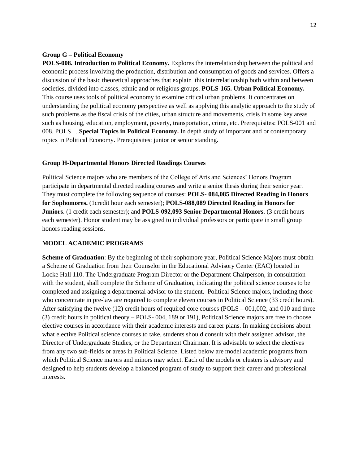#### **Group G – Political Economy**

**POLS-008. Introduction to Political Economy.** Explores the interrelationship between the political and economic process involving the production, distribution and consumption of goods and services. Offers a discussion of the basic theoretical approaches that explain this interrelationship both within and between societies, divided into classes, ethnic and or religious groups. **POLS-165. Urban Political Economy.**  This course uses tools of political economy to examine critical urban problems. It concentrates on understanding the political economy perspective as well as applying this analytic approach to the study of such problems as the fiscal crisis of the cities, urban structure and movements, crisis in some key areas such as housing, education, employment, poverty, transportation, crime, etc. Prerequisites: POLS-001 and 008. POLS….**Special Topics in Political Economy.** In depth study of important and or contemporary topics in Political Economy. Prerequisites: junior or senior standing.

#### **Group H-Departmental Honors Directed Readings Courses**

Political Science majors who are members of the College of Arts and Sciences' Honors Program participate in departmental directed reading courses and write a senior thesis during their senior year. They must complete the following sequence of courses: **POLS- 084,085 Directed Reading in Honors for Sophomores.** (1credit hour each semester); **POLS-088,089 Directed Reading in Honors for Juniors**. (1 credit each semester); and **POLS-092,093 Senior Departmental Honors.** (3 credit hours each semester). Honor student may be assigned to individual professors or participate in small group honors reading sessions.

#### **MODEL ACADEMIC PROGRAMS**

**Scheme of Graduation**: By the beginning of their sophomore year, Political Science Majors must obtain a Scheme of Graduation from their Counselor in the Educational Advisory Center (EAC) located in Locke Hall 110. The Undergraduate Program Director or the Department Chairperson, in consultation with the student, shall complete the Scheme of Graduation, indicating the political science courses to be completed and assigning a departmental advisor to the student. Political Science majors, including those who concentrate in pre-law are required to complete eleven courses in Political Science (33 credit hours). After satisfying the twelve (12) credit hours of required core courses (POLS – 001,002, and 010 and three (3) credit hours in political theory – POLS- 004, 189 or 191), Political Science majors are free to choose elective courses in accordance with their academic interests and career plans. In making decisions about what elective Political science courses to take, students should consult with their assigned advisor, the Director of Undergraduate Studies, or the Department Chairman. It is advisable to select the electives from any two sub-fields or areas in Political Science. Listed below are model academic programs from which Political Science majors and minors may select. Each of the models or clusters is advisory and designed to help students develop a balanced program of study to support their career and professional interests.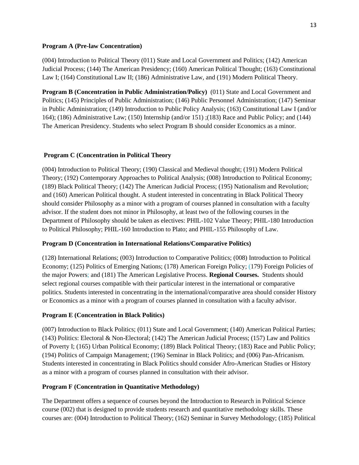### **Program A (Pre-law Concentration)**

(004) Introduction to Political Theory (011) State and Local Government and Politics; (142) American Judicial Process; (144) The American Presidency; (160) American Political Thought; (163) Constitutional Law I; (164) Constitutional Law II; (186) Administrative Law, and (191) Modern Political Theory.

**Program B (Concentration in Public Administration/Policy)** (011) State and Local Government and Politics; (145) Principles of Public Administration; (146) Public Personnel Administration; (147) Seminar in Public Administration; (149) Introduction to Public Policy Analysis; (163) Constitutional Law I (and/or 164); (186) Administrative Law; (150) Internship (and/or 151) ;(183) Race and Public Policy; and (144) The American Presidency. Students who select Program B should consider Economics as a minor.

# **Program C (Concentration in Political Theory**

(004) Introduction to Political Theory; (190) Classical and Medieval thought; (191) Modern Political Theory; (192) Contemporary Approaches to Political Analysis; (008) Introduction to Political Economy; (189) Black Political Theory; (142) The American Judicial Process; (195) Nationalism and Revolution; and (160) American Political thought. A student interested in concentrating in Black Political Theory should consider Philosophy as a minor with a program of courses planned in consultation with a faculty advisor. If the student does not minor in Philosophy, at least two of the following courses in the Department of Philosophy should be taken as electives: PHIL-102 Value Theory; PHIL-180 Introduction to Political Philosophy; PHIL-160 Introduction to Plato; and PHIL-155 Philosophy of Law.

# **Program D (Concentration in International Relations/Comparative Politics)**

(128) International Relations; (003) Introduction to Comparative Politics; (008) Introduction to Political Economy; (125) Politics of Emerging Nations; (178) American Foreign Policy; (179) Foreign Policies of the major Powers; and (181) The American Legislative Process. **Regional Courses.** Students should select regional courses compatible with their particular interest in the international or comparative politics. Students interested in concentrating in the international/comparative area should consider History or Economics as a minor with a program of courses planned in consultation with a faculty advisor.

# **Program E (Concentration in Black Politics)**

(007) Introduction to Black Politics; (011) State and Local Government; (140) American Political Parties; (143) Politics: Electoral & Non-Electoral; (142) The American Judicial Process; (157) Law and Politics of Poverty I; (165) Urban Political Economy; (189) Black Political Theory; (183) Race and Public Policy; (194) Politics of Campaign Management; (196) Seminar in Black Politics; and (006) Pan-Africanism. Students interested in concentrating in Black Politics should consider Afro-American Studies or History as a minor with a program of courses planned in consultation with their advisor.

# **Program F (Concentration in Quantitative Methodology)**

The Department offers a sequence of courses beyond the Introduction to Research in Political Science course (002) that is designed to provide students research and quantitative methodology skills. These courses are: (004) Introduction to Political Theory; (162) Seminar in Survey Methodology; (185) Political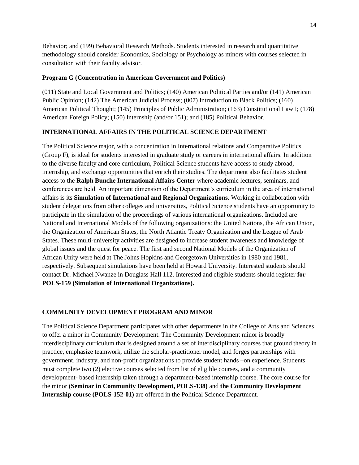Behavior; and (199) Behavioral Research Methods. Students interested in research and quantitative methodology should consider Economics, Sociology or Psychology as minors with courses selected in consultation with their faculty advisor.

### **Program G (Concentration in American Government and Politics)**

(011) State and Local Government and Politics; (140) American Political Parties and/or (141) American Public Opinion; (142) The American Judicial Process; (007) Introduction to Black Politics; (160) American Political Thought; (145) Principles of Public Administration; (163) Constitutional Law I; (178) American Foreign Policy; (150) Internship (and/or 151); and (185) Political Behavior.

# **INTERNATIONAL AFFAIRS IN THE POLITICAL SCIENCE DEPARTMENT**

The Political Science major, with a concentration in International relations and Comparative Politics (Group F), is ideal for students interested in graduate study or careers in international affairs. In addition to the diverse faculty and core curriculum, Political Science students have access to study abroad, internship, and exchange opportunities that enrich their studies. The department also facilitates student access to the **Ralph Bunche International Affairs Center** where academic lectures, seminars, and conferences are held. An important dimension of the Department's curriculum in the area of international affairs is its **Simulation of International and Regional Organizations.** Working in collaboration with student delegations from other colleges and universities, Political Science students have an opportunity to participate in the simulation of the proceedings of various international organizations. Included are National and International Models of the following organizations: the United Nations, the African Union, the Organization of American States, the North Atlantic Treaty Organization and the League of Arab States. These multi-university activities are designed to increase student awareness and knowledge of global issues and the quest for peace. The first and second National Models of the Organization of African Unity were held at The Johns Hopkins and Georgetown Universities in 1980 and 1981, respectively. Subsequent simulations have been held at Howard University. Interested students should contact Dr. Michael Nwanze in Douglass Hall 112. Interested and eligible students should register **for POLS-159 (Simulation of International Organizations).**

# **COMMUNITY DEVELOPMENT PROGRAM AND MINOR**

The Political Science Department participates with other departments in the College of Arts and Sciences to offer a minor in Community Development. The Community Development minor is broadly interdisciplinary curriculum that is designed around a set of interdisciplinary courses that ground theory in practice, emphasize teamwork, utilize the scholar-practitioner model, and forges partnerships with government, industry, and non-profit organizations to provide student hands –on experience. Students must complete two (2) elective courses selected from list of eligible courses, and a community development- based internship taken through a department-based internship course. The core course for the minor **(Seminar in Community Development, POLS-138)** and **the Community Development Internship course (POLS-152-01)** are offered in the Political Science Department.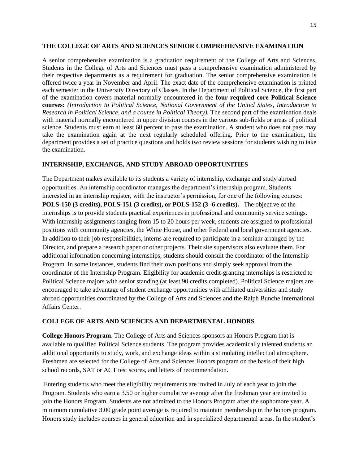#### **THE COLLEGE OF ARTS AND SCIENCES SENIOR COMPREHENSIVE EXAMINATION**

A senior comprehensive examination is a graduation requirement of the College of Arts and Sciences. Students in the College of Arts and Sciences must pass a comprehensive examination administered by their respective departments as a requirement for graduation. The senior comprehensive examination is offered twice a year in November and April. The exact date of the comprehensive examination is printed each semester in the University Directory of Classes. In the Department of Political Science, the first part of the examination covers material normally encountered in the **four required core Political Science courses:** *(Introduction to Political Science, National Government of the United States, Introduction to Research in Political Science, and a course in Political Theory).* The second part of the examination deals with material normally encountered in upper division courses in the various sub-fields or areas of political science. Students must earn at least 60 percent to pass the examination. A student who does not pass may take the examination again at the next regularly scheduled offering. Prior to the examination, the department provides a set of practice questions and holds two review sessions for students wishing to take the examination.

#### **INTERNSHIP, EXCHANGE, AND STUDY ABROAD OPPORTUNITIES**

The Department makes available to its students a variety of internship, exchange and study abroad opportunities. An internship coordinator manages the department's internship program. Students interested in an internship register, with the instructor's permission, for one of the following courses: **POLS-150 (3 credits), POLS-151 (3 credits), or POLS-152 (3 -6 credits).** The objective of the internships is to provide students practical experiences in professional and community service settings. With internship assignments ranging from 15 to 20 hours per week, students are assigned to professional positions with community agencies, the White House, and other Federal and local government agencies. In addition to their job responsibilities, interns are required to participate in a seminar arranged by the Director, and prepare a research paper or other projects. Their site supervisors also evaluate them. For additional information concerning internships, students should consult the coordinator of the Internship Program. In some instances, students find their own positions and simply seek approval from the coordinator of the Internship Program. Eligibility for academic credit-granting internships is restricted to Political Science majors with senior standing (at least 90 credits completed). Political Science majors are encouraged to take advantage of student exchange opportunities with affiliated universities and study abroad opportunities coordinated by the College of Arts and Sciences and the Ralph Bunche International Affairs Center.

# **COLLEGE OF ARTS AND SCIENCES AND DEPARTMENTAL HONORS**

**College Honors Program**. The College of Arts and Sciences sponsors an Honors Program that is available to qualified Political Science students. The program provides academically talented students an additional opportunity to study, work, and exchange ideas within a stimulating intellectual atmosphere. Freshmen are selected for the College of Arts and Sciences Honors program on the basis of their high school records, SAT or ACT test scores, and letters of recommendation.

Entering students who meet the eligibility requirements are invited in July of each year to join the Program. Students who earn a 3.50 or higher cumulative average after the freshman year are invited to join the Honors Program. Students are not admitted to the Honors Program after the sophomore year. A minimum cumulative 3.00 grade point average is required to maintain membership in the honors program. Honors study includes courses in general education and in specialized departmental areas. In the student's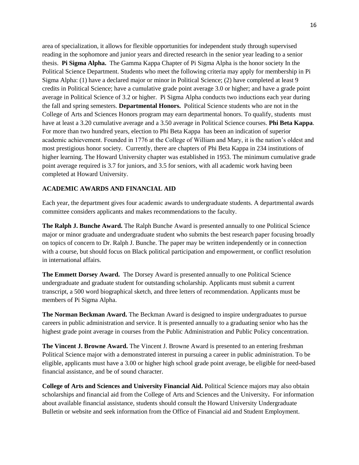area of specialization, it allows for flexible opportunities for independent study through supervised reading in the sophomore and junior years and directed research in the senior year leading to a senior thesis. **Pi Sigma Alpha.** The Gamma Kappa Chapter of Pi Sigma Alpha is the honor society In the Political Science Department. Students who meet the following criteria may apply for membership in Pi Sigma Alpha: (1) have a declared major or minor in Political Science; (2) have completed at least 9 credits in Political Science; have a cumulative grade point average 3.0 or higher; and have a grade point average in Political Science of 3.2 or higher. Pi Sigma Alpha conducts two inductions each year during the fall and spring semesters. **Departmental Honors.** Political Science students who are not in the College of Arts and Sciences Honors program may earn departmental honors. To qualify, students must have at least a 3.20 cumulative average and a 3.50 average in Political Science courses. **Phi Beta Kappa**. For more than two hundred years, election to Phi Beta Kappa has been an indication of superior academic achievement. Founded in 1776 at the College of William and Mary, it is the nation's oldest and most prestigious honor society. Currently, there are chapters of Phi Beta Kappa in 234 institutions of higher learning. The Howard University chapter was established in 1953. The minimum cumulative grade point average required is 3.7 for juniors, and 3.5 for seniors, with all academic work having been completed at Howard University.

### **ACADEMIC AWARDS AND FINANCIAL AID**

Each year, the department gives four academic awards to undergraduate students. A departmental awards committee considers applicants and makes recommendations to the faculty.

**The Ralph J. Bunche Award.** The Ralph Bunche Award is presented annually to one Political Science major or minor graduate and undergraduate student who submits the best research paper focusing broadly on topics of concern to Dr. Ralph J. Bunche. The paper may be written independently or in connection with a course, but should focus on Black political participation and empowerment, or conflict resolution in international affairs.

**The Emmett Dorsey Award.** The Dorsey Award is presented annually to one Political Science undergraduate and graduate student for outstanding scholarship. Applicants must submit a current transcript, a 500 word biographical sketch, and three letters of recommendation. Applicants must be members of Pi Sigma Alpha.

**The Norman Beckman Award.** The Beckman Award is designed to inspire undergraduates to pursue careers in public administration and service. It is presented annually to a graduating senior who has the highest grade point average in courses from the Public Administration and Public Policy concentration.

**The Vincent J. Browne Award.** The Vincent J. Browne Award is presented to an entering freshman Political Science major with a demonstrated interest in pursuing a career in public administration. To be eligible, applicants must have a 3.00 or higher high school grade point average, be eligible for need-based financial assistance, and be of sound character.

**College of Arts and Sciences and University Financial Aid.** Political Science majors may also obtain scholarships and financial aid from the College of Arts and Sciences and the University**.** For information about available financial assistance, students should consult the Howard University Undergraduate Bulletin or website and seek information from the Office of Financial aid and Student Employment.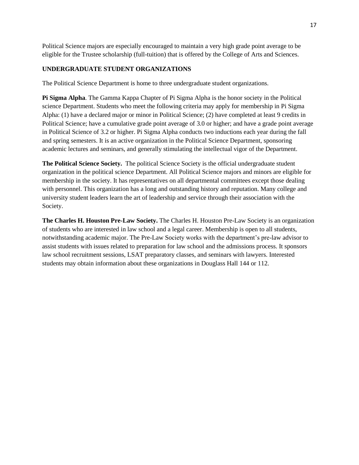Political Science majors are especially encouraged to maintain a very high grade point average to be eligible for the Trustee scholarship (full-tuition) that is offered by the College of Arts and Sciences.

# **UNDERGRADUATE STUDENT ORGANIZATIONS**

The Political Science Department is home to three undergraduate student organizations.

**Pi Sigma Alpha**. The Gamma Kappa Chapter of Pi Sigma Alpha is the honor society in the Political science Department. Students who meet the following criteria may apply for membership in Pi Sigma Alpha: (1) have a declared major or minor in Political Science; (2) have completed at least 9 credits in Political Science; have a cumulative grade point average of 3.0 or higher; and have a grade point average in Political Science of 3.2 or higher. Pi Sigma Alpha conducts two inductions each year during the fall and spring semesters. It is an active organization in the Political Science Department, sponsoring academic lectures and seminars, and generally stimulating the intellectual vigor of the Department.

**The Political Science Society.** The political Science Society is the official undergraduate student organization in the political science Department. All Political Science majors and minors are eligible for membership in the society. It has representatives on all departmental committees except those dealing with personnel. This organization has a long and outstanding history and reputation. Many college and university student leaders learn the art of leadership and service through their association with the Society.

**The Charles H. Houston Pre-Law Society.** The Charles H. Houston Pre-Law Society is an organization of students who are interested in law school and a legal career. Membership is open to all students, notwithstanding academic major. The Pre-Law Society works with the department's pre-law advisor to assist students with issues related to preparation for law school and the admissions process. It sponsors law school recruitment sessions, LSAT preparatory classes, and seminars with lawyers. Interested students may obtain information about these organizations in Douglass Hall 144 or 112.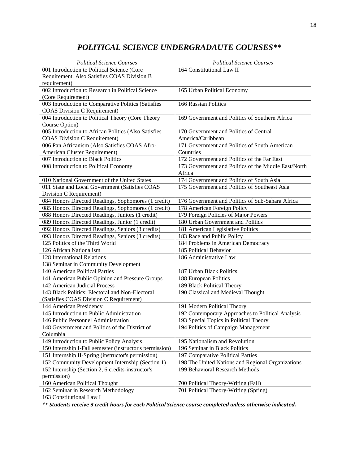# *POLITICAL SCIENCE UNDERGRADAUTE COURSES\*\**

| <b>Political Science Courses</b>                         | <b>Political Science Courses</b>                     |
|----------------------------------------------------------|------------------------------------------------------|
| 001 Introduction to Political Science (Core              | 164 Constitutional Law II                            |
| Requirement. Also Satisfies COAS Division B              |                                                      |
| requirement)                                             |                                                      |
| 002 Introduction to Research in Political Science        | 165 Urban Political Economy                          |
| (Core Requirement)                                       |                                                      |
| 003 Introduction to Comparative Politics (Satisfies      | 166 Russian Politics                                 |
| <b>COAS Division C Requirement)</b>                      |                                                      |
| 004 Introduction to Political Theory (Core Theory        | 169 Government and Politics of Southern Africa       |
| Course Option)                                           |                                                      |
| 005 Introduction to African Politics (Also Satisfies     | 170 Government and Politics of Central               |
| <b>COAS Division C Requirement)</b>                      | America/Caribbean                                    |
| 006 Pan Africanism (Also Satisfies COAS Afro-            | 171 Government and Politics of South American        |
| American Cluster Requirement)                            | Countries                                            |
| 007 Introduction to Black Politics                       | 172 Government and Politics of the Far East          |
| 008 Introduction to Political Economy                    | 173 Government and Politics of the Middle East/North |
|                                                          | Africa                                               |
| 010 National Government of the United States             | 174 Government and Politics of South Asia            |
| 011 State and Local Government (Satisfies COAS           | 175 Government and Politics of Southeast Asia        |
| Division C Requirement)                                  |                                                      |
| 084 Honors Directed Readings, Sophomores (1 credit)      | 176 Government and Politics of Sub-Sahara Africa     |
| 085 Honors Directed Readings, Sophomores (1 credit)      | 178 American Foreign Policy                          |
| 088 Honors Directed Readings, Juniors (1 credit)         | 179 Foreign Policies of Major Powers                 |
| 089 Honors Directed Readings, Junior (1 credit)          | 180 Urban Government and Politics                    |
| 092 Honors Directed Readings, Seniors (3 credits)        | 181 American Legislative Politics                    |
| 093 Honors Directed Readings, Seniors (3 credits)        | 183 Race and Public Policy                           |
| 125 Politics of the Third World                          | 184 Problems in American Democracy                   |
| 126 African Nationalism                                  | 185 Political Behavior                               |
| 128 International Relations                              | 186 Administrative Law                               |
| 138 Seminar in Community Development                     |                                                      |
| 140 American Political Parties                           | 187 Urban Black Politics                             |
| 141 American Public Opinion and Pressure Groups          | 188 European Politics                                |
| 142 American Judicial Process                            | 189 Black Political Theory                           |
| 143 Black Politics: Electoral and Non-Electoral          | 190 Classical and Medieval Thought                   |
| (Satisfies COAS Division C Requirement)                  |                                                      |
| 144 American Presidency                                  | 191 Modern Political Theory                          |
| 145 Introduction to Public Administration                | 192 Contemporary Approaches to Political Analysis    |
| 146 Public Personnel Administration                      | 193 Special Topics in Political Theory               |
| 148 Government and Politics of the District of           | 194 Politics of Campaign Management                  |
| Columbia                                                 |                                                      |
| 149 Introduction to Public Policy Analysis               | 195 Nationalism and Revolution                       |
| 150 Internship I-Fall semester (instructor's permission) | 196 Seminar in Black Politics                        |
| 151 Internship II-Spring (instructor's permission)       | 197 Comparative Political Parties                    |
| 152 Community Development Internship (Section 1)         | 198 The United Nations and Regional Organizations    |
| 152 Internship (Section 2, 6 credits-instructor's        | 199 Behavioral Research Methods                      |
| permission)                                              |                                                      |
| 160 American Political Thought                           | 700 Political Theory-Writing (Fall)                  |
| 162 Seminar in Research Methodology                      | 701 Political Theory-Writing (Spring)                |
| 163 Constitutional Law I                                 |                                                      |

*\*\* Students receive 3 credit hours for each Political Science course completed unless otherwise indicated.*